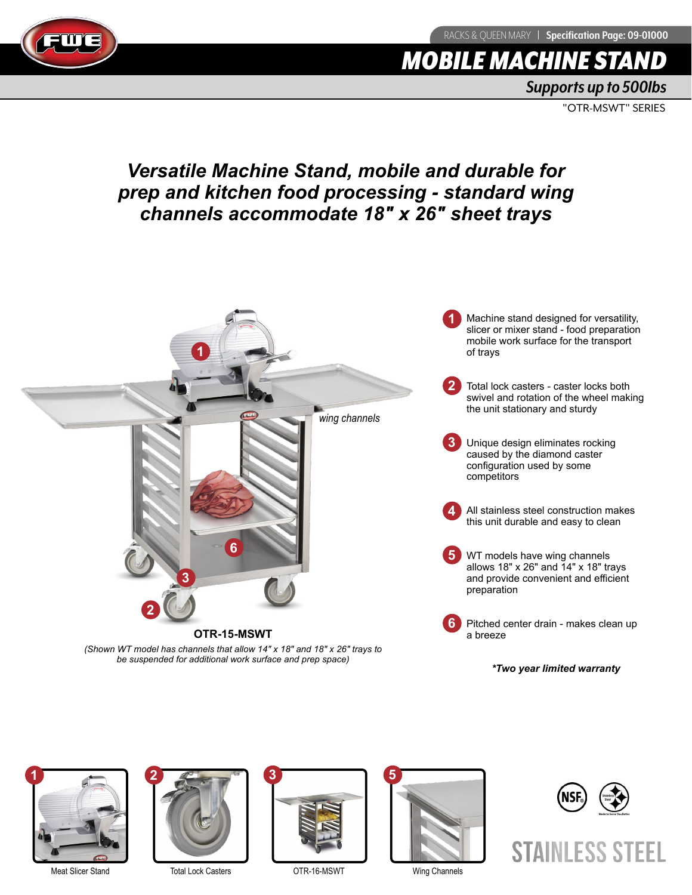RACKS & QUEEN MARY | Specification Page: 09-01000



# **MOBILE MACHINE STA**

*Supports up to 500lbs*

"OTR-MSWT" SERIES

## *Versatile Machine Stand, mobile and durable for prep and kitchen food processing - standard wing channels accommodate 18" x 26" sheet trays*







Meat Slicer Stand Total Lock Casters COTR-16-MSWT Wing Channels